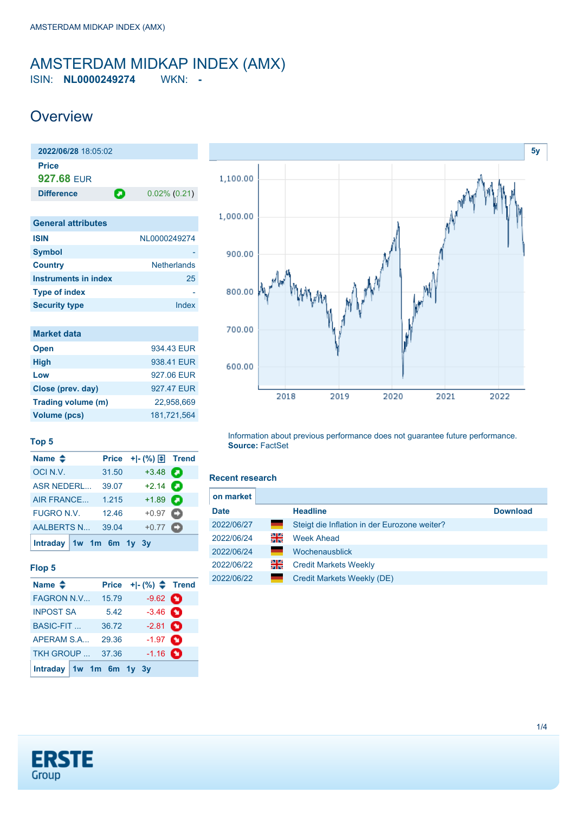# <span id="page-0-0"></span>AMSTERDAM MIDKAP INDEX (AMX)

ISIN: **NL0000249274** WKN: **-**

### **Overview**

**2022/06/28** 18:05:02 **Price 927.68** EUR **Difference 0.02% (0.21) General attributes**

| <b>ISIN</b>          | NL0000249274       |
|----------------------|--------------------|
| <b>Symbol</b>        |                    |
| <b>Country</b>       | <b>Netherlands</b> |
| Instruments in index | 25                 |
| <b>Type of index</b> |                    |
| <b>Security type</b> | Index              |

| <b>Market data</b> |             |
|--------------------|-------------|
| <b>Open</b>        | 934 43 FUR  |
| <b>High</b>        | 938.41 EUR  |
| Low                | 927.06 EUR  |
| Close (prev. day)  | 927.47 EUR  |
| Trading volume (m) | 22.958.669  |
| Volume (pcs)       | 181.721.564 |



### **Top 5**

| Name $\triangleq$       |       | Price $+$ $ (%)$ $\oplus$ Trend |  |
|-------------------------|-------|---------------------------------|--|
| OCIN.V.                 | 31.50 | $+3.48$                         |  |
| <b>ASR NEDERL</b>       | 39.07 | $+2.14$ $\bullet$               |  |
| <b>AIR FRANCE</b>       | 1.215 | $+1.89$ $\Box$                  |  |
| <b>FUGRO N.V.</b>       | 12.46 | $+0.97$ $\bullet$               |  |
| <b>AALBERTS N</b>       | 39.04 | $+0.77$ $\bullet$               |  |
| Intraday 1w 1m 6m 1y 3y |       |                                 |  |

### **Flop 5**

| Name $\triangleq$       | <b>Price</b> |                   |  |
|-------------------------|--------------|-------------------|--|
| <b>FAGRON N.V</b>       | 15.79        | $-9.62$ $\bullet$ |  |
| <b>INPOST SA</b>        | 5.42         | $-3.46$ $\bullet$ |  |
| <b>BASIC-FIT</b>        | 36.72        | $-2.81$ $\bullet$ |  |
| APERAM S.A              | 29.36        | $-1.97$ $\bullet$ |  |
| <b>TKH GROUP</b>        | 37.36        | $-1.16$ $\bullet$ |  |
| Intraday 1w 1m 6m 1y 3y |              |                   |  |

Information about previous performance does not guarantee future performance. **Source:** FactSet

#### **Recent research**

| on market   |       |                                              |                 |
|-------------|-------|----------------------------------------------|-----------------|
| <b>Date</b> |       | <b>Headline</b>                              | <b>Download</b> |
| 2022/06/27  | =     | Steigt die Inflation in der Eurozone weiter? |                 |
| 2022/06/24  | 읡     | <b>Week Ahead</b>                            |                 |
| 2022/06/24  |       | Wochenausblick                               |                 |
| 2022/06/22  | 꾉뚢    | <b>Credit Markets Weekly</b>                 |                 |
| 2022/06/22  | e e c | Credit Markets Weekly (DE)                   |                 |

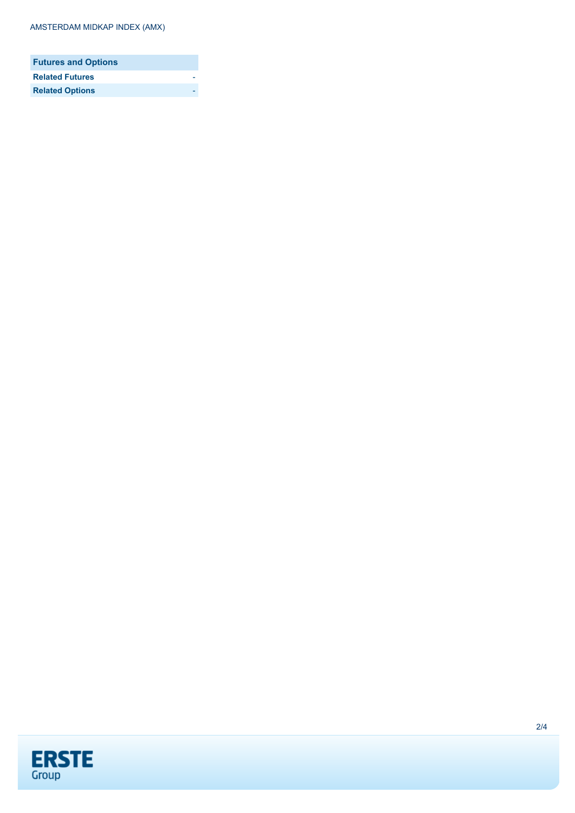| <b>Futures and Options</b> |  |
|----------------------------|--|
| <b>Related Futures</b>     |  |
| <b>Related Options</b>     |  |

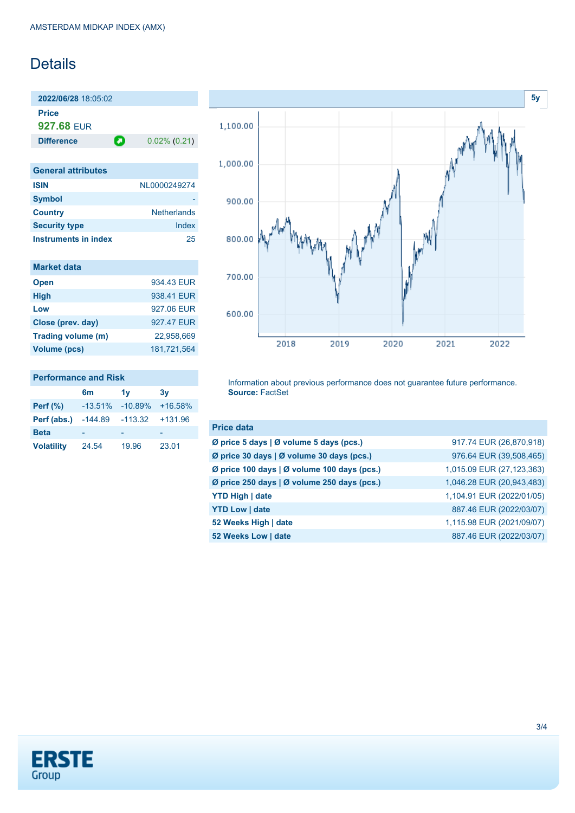## Details

**2022/06/28** 18:05:02 **Price 927.68** EUR

**Difference 0.02% (0.21)** 

| <b>General attributes</b> |                    |
|---------------------------|--------------------|
| <b>ISIN</b>               | NL0000249274       |
| <b>Symbol</b>             |                    |
| <b>Country</b>            | <b>Netherlands</b> |
| <b>Security type</b>      | Index              |
| Instruments in index      | 25                 |

| <b>Market data</b> |             |
|--------------------|-------------|
| <b>Open</b>        | 934 43 FUR  |
| <b>High</b>        | 938 41 FUR  |
| Low                | 927.06 EUR  |
| Close (prev. day)  | 927.47 EUR  |
| Trading volume (m) | 22.958.669  |
| Volume (pcs)       | 181.721.564 |

## **Performance and Risk**

|                   | 6 <sub>m</sub> | 1v        | 3v        |
|-------------------|----------------|-----------|-----------|
| Perf $(\%)$       | $-13.51%$      | $-10.89%$ | $+16.58%$ |
| Perf (abs.)       | $-144.89$      | $-113.32$ | +131.96   |
| <b>Beta</b>       |                |           |           |
| <b>Volatility</b> | 24.54          | 19.96     | 23.01     |



Information about previous performance does not guarantee future performance. **Source:** FactSet

| <b>Price data</b>                           |                           |
|---------------------------------------------|---------------------------|
| Ø price 5 days   Ø volume 5 days (pcs.)     | 917.74 EUR (26,870,918)   |
| Ø price 30 days   Ø volume 30 days (pcs.)   | 976.64 EUR (39,508,465)   |
| Ø price 100 days   Ø volume 100 days (pcs.) | 1,015.09 EUR (27,123,363) |
| Ø price 250 days   Ø volume 250 days (pcs.) | 1,046.28 EUR (20,943,483) |
| <b>YTD High   date</b>                      | 1,104.91 EUR (2022/01/05) |
| <b>YTD Low   date</b>                       | 887.46 EUR (2022/03/07)   |
| 52 Weeks High   date                        | 1,115.98 EUR (2021/09/07) |
| 52 Weeks Low   date                         | 887.46 EUR (2022/03/07)   |